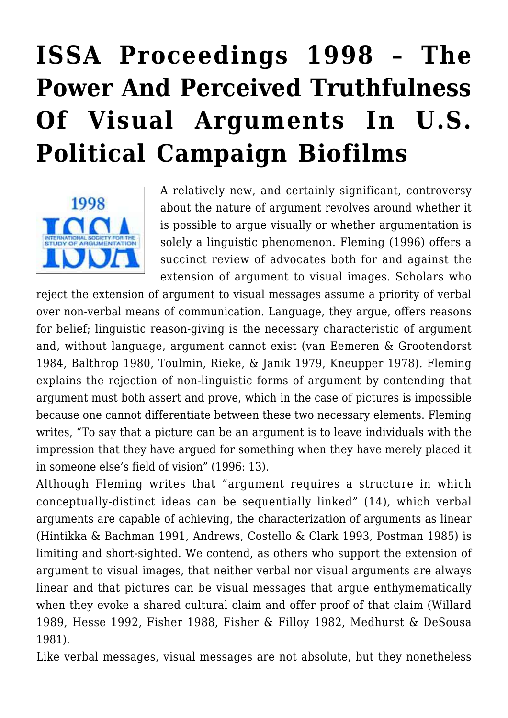# **[ISSA Proceedings 1998 – The](https://rozenbergquarterly.com/issa-proceedings-1998-the-power-and-perceived-truthfulness-of-visual-arguments-in-u-s-political-campaign-biofilms/) [Power And Perceived Truthfulness](https://rozenbergquarterly.com/issa-proceedings-1998-the-power-and-perceived-truthfulness-of-visual-arguments-in-u-s-political-campaign-biofilms/) [Of Visual Arguments In U.S.](https://rozenbergquarterly.com/issa-proceedings-1998-the-power-and-perceived-truthfulness-of-visual-arguments-in-u-s-political-campaign-biofilms/) [Political Campaign Biofilms](https://rozenbergquarterly.com/issa-proceedings-1998-the-power-and-perceived-truthfulness-of-visual-arguments-in-u-s-political-campaign-biofilms/)**



A relatively new, and certainly significant, controversy about the nature of argument revolves around whether it is possible to argue visually or whether argumentation is solely a linguistic phenomenon. Fleming (1996) offers a succinct review of advocates both for and against the extension of argument to visual images. Scholars who

reject the extension of argument to visual messages assume a priority of verbal over non-verbal means of communication. Language, they argue, offers reasons for belief; linguistic reason-giving is the necessary characteristic of argument and, without language, argument cannot exist (van Eemeren & Grootendorst 1984, Balthrop 1980, Toulmin, Rieke, & Janik 1979, Kneupper 1978). Fleming explains the rejection of non-linguistic forms of argument by contending that argument must both assert and prove, which in the case of pictures is impossible because one cannot differentiate between these two necessary elements. Fleming writes, "To say that a picture can be an argument is to leave individuals with the impression that they have argued for something when they have merely placed it in someone else's field of vision" (1996: 13).

Although Fleming writes that "argument requires a structure in which conceptually-distinct ideas can be sequentially linked" (14), which verbal arguments are capable of achieving, the characterization of arguments as linear (Hintikka & Bachman 1991, Andrews, Costello & Clark 1993, Postman 1985) is limiting and short-sighted. We contend, as others who support the extension of argument to visual images, that neither verbal nor visual arguments are always linear and that pictures can be visual messages that argue enthymematically when they evoke a shared cultural claim and offer proof of that claim (Willard 1989, Hesse 1992, Fisher 1988, Fisher & Filloy 1982, Medhurst & DeSousa 1981).

Like verbal messages, visual messages are not absolute, but they nonetheless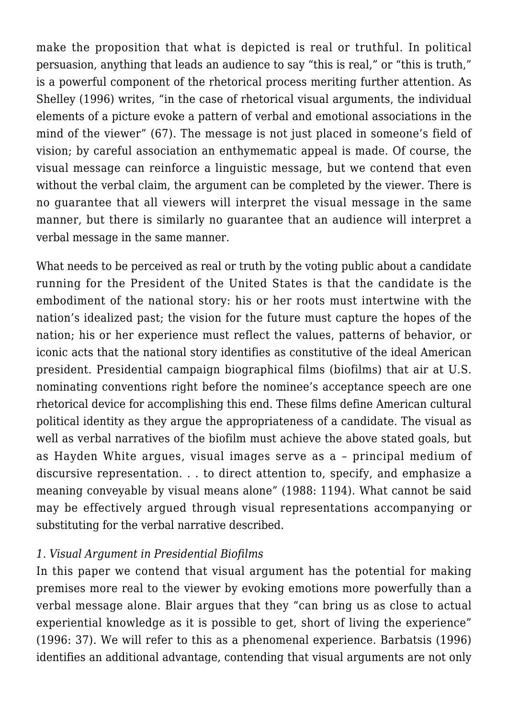make the proposition that what is depicted is real or truthful. In political persuasion, anything that leads an audience to say "this is real," or "this is truth," is a powerful component of the rhetorical process meriting further attention. As Shelley (1996) writes, "in the case of rhetorical visual arguments, the individual elements of a picture evoke a pattern of verbal and emotional associations in the mind of the viewer" (67). The message is not just placed in someone's field of vision; by careful association an enthymematic appeal is made. Of course, the visual message can reinforce a linguistic message, but we contend that even without the verbal claim, the argument can be completed by the viewer. There is no guarantee that all viewers will interpret the visual message in the same manner, but there is similarly no guarantee that an audience will interpret a verbal message in the same manner.

What needs to be perceived as real or truth by the voting public about a candidate running for the President of the United States is that the candidate is the embodiment of the national story: his or her roots must intertwine with the nation's idealized past; the vision for the future must capture the hopes of the nation; his or her experience must reflect the values, patterns of behavior, or iconic acts that the national story identifies as constitutive of the ideal American president. Presidential campaign biographical films (biofilms) that air at U.S. nominating conventions right before the nominee's acceptance speech are one rhetorical device for accomplishing this end. These films define American cultural political identity as they argue the appropriateness of a candidate. The visual as well as verbal narratives of the biofilm must achieve the above stated goals, but as Hayden White argues, visual images serve as a – principal medium of discursive representation. . . to direct attention to, specify, and emphasize a meaning conveyable by visual means alone" (1988: 1194). What cannot be said may be effectively argued through visual representations accompanying or substituting for the verbal narrative described.

#### *1. Visual Argument in Presidential Biofilms*

In this paper we contend that visual argument has the potential for making premises more real to the viewer by evoking emotions more powerfully than a verbal message alone. Blair argues that they "can bring us as close to actual experiential knowledge as it is possible to get, short of living the experience" (1996: 37). We will refer to this as a phenomenal experience. Barbatsis (1996) identifies an additional advantage, contending that visual arguments are not only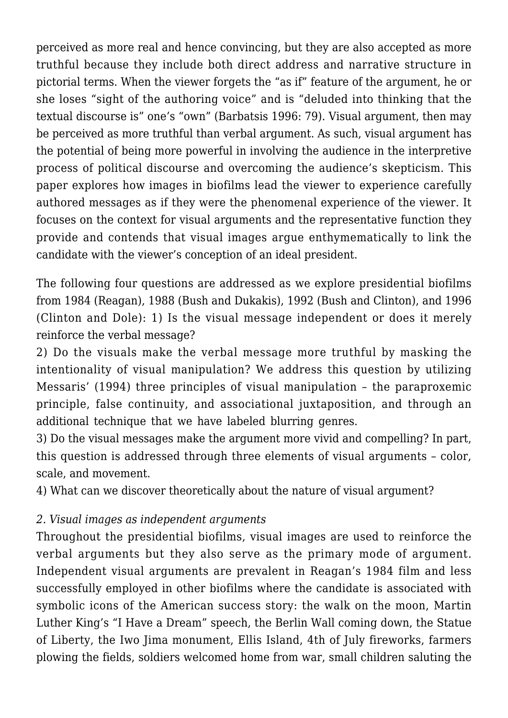perceived as more real and hence convincing, but they are also accepted as more truthful because they include both direct address and narrative structure in pictorial terms. When the viewer forgets the "as if" feature of the argument, he or she loses "sight of the authoring voice" and is "deluded into thinking that the textual discourse is" one's "own" (Barbatsis 1996: 79). Visual argument, then may be perceived as more truthful than verbal argument. As such, visual argument has the potential of being more powerful in involving the audience in the interpretive process of political discourse and overcoming the audience's skepticism. This paper explores how images in biofilms lead the viewer to experience carefully authored messages as if they were the phenomenal experience of the viewer. It focuses on the context for visual arguments and the representative function they provide and contends that visual images argue enthymematically to link the candidate with the viewer's conception of an ideal president.

The following four questions are addressed as we explore presidential biofilms from 1984 (Reagan), 1988 (Bush and Dukakis), 1992 (Bush and Clinton), and 1996 (Clinton and Dole): 1) Is the visual message independent or does it merely reinforce the verbal message?

2) Do the visuals make the verbal message more truthful by masking the intentionality of visual manipulation? We address this question by utilizing Messaris' (1994) three principles of visual manipulation – the paraproxemic principle, false continuity, and associational juxtaposition, and through an additional technique that we have labeled blurring genres.

3) Do the visual messages make the argument more vivid and compelling? In part, this question is addressed through three elements of visual arguments – color, scale, and movement.

4) What can we discover theoretically about the nature of visual argument?

# *2. Visual images as independent arguments*

Throughout the presidential biofilms, visual images are used to reinforce the verbal arguments but they also serve as the primary mode of argument. Independent visual arguments are prevalent in Reagan's 1984 film and less successfully employed in other biofilms where the candidate is associated with symbolic icons of the American success story: the walk on the moon, Martin Luther King's "I Have a Dream" speech, the Berlin Wall coming down, the Statue of Liberty, the Iwo Jima monument, Ellis Island, 4th of July fireworks, farmers plowing the fields, soldiers welcomed home from war, small children saluting the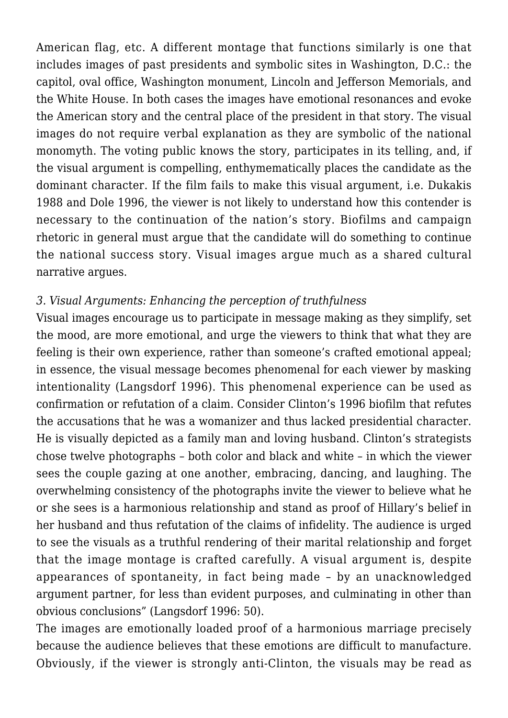American flag, etc. A different montage that functions similarly is one that includes images of past presidents and symbolic sites in Washington, D.C.: the capitol, oval office, Washington monument, Lincoln and Jefferson Memorials, and the White House. In both cases the images have emotional resonances and evoke the American story and the central place of the president in that story. The visual images do not require verbal explanation as they are symbolic of the national monomyth. The voting public knows the story, participates in its telling, and, if the visual argument is compelling, enthymematically places the candidate as the dominant character. If the film fails to make this visual argument, i.e. Dukakis 1988 and Dole 1996, the viewer is not likely to understand how this contender is necessary to the continuation of the nation's story. Biofilms and campaign rhetoric in general must argue that the candidate will do something to continue the national success story. Visual images argue much as a shared cultural narrative argues.

#### *3. Visual Arguments: Enhancing the perception of truthfulness*

Visual images encourage us to participate in message making as they simplify, set the mood, are more emotional, and urge the viewers to think that what they are feeling is their own experience, rather than someone's crafted emotional appeal; in essence, the visual message becomes phenomenal for each viewer by masking intentionality (Langsdorf 1996). This phenomenal experience can be used as confirmation or refutation of a claim. Consider Clinton's 1996 biofilm that refutes the accusations that he was a womanizer and thus lacked presidential character. He is visually depicted as a family man and loving husband. Clinton's strategists chose twelve photographs – both color and black and white – in which the viewer sees the couple gazing at one another, embracing, dancing, and laughing. The overwhelming consistency of the photographs invite the viewer to believe what he or she sees is a harmonious relationship and stand as proof of Hillary's belief in her husband and thus refutation of the claims of infidelity. The audience is urged to see the visuals as a truthful rendering of their marital relationship and forget that the image montage is crafted carefully. A visual argument is, despite appearances of spontaneity, in fact being made – by an unacknowledged argument partner, for less than evident purposes, and culminating in other than obvious conclusions" (Langsdorf 1996: 50).

The images are emotionally loaded proof of a harmonious marriage precisely because the audience believes that these emotions are difficult to manufacture. Obviously, if the viewer is strongly anti-Clinton, the visuals may be read as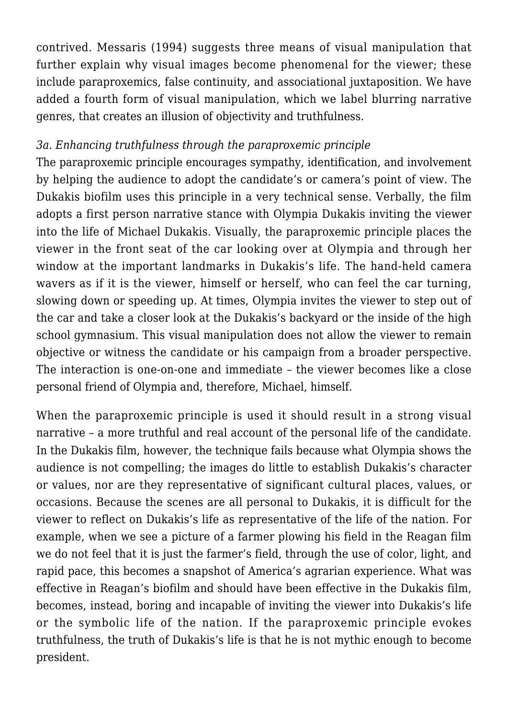contrived. Messaris (1994) suggests three means of visual manipulation that further explain why visual images become phenomenal for the viewer; these include paraproxemics, false continuity, and associational juxtaposition. We have added a fourth form of visual manipulation, which we label blurring narrative genres, that creates an illusion of objectivity and truthfulness.

## *3a. Enhancing truthfulness through the paraproxemic principle*

The paraproxemic principle encourages sympathy, identification, and involvement by helping the audience to adopt the candidate's or camera's point of view. The Dukakis biofilm uses this principle in a very technical sense. Verbally, the film adopts a first person narrative stance with Olympia Dukakis inviting the viewer into the life of Michael Dukakis. Visually, the paraproxemic principle places the viewer in the front seat of the car looking over at Olympia and through her window at the important landmarks in Dukakis's life. The hand-held camera wavers as if it is the viewer, himself or herself, who can feel the car turning, slowing down or speeding up. At times, Olympia invites the viewer to step out of the car and take a closer look at the Dukakis's backyard or the inside of the high school gymnasium. This visual manipulation does not allow the viewer to remain objective or witness the candidate or his campaign from a broader perspective. The interaction is one-on-one and immediate – the viewer becomes like a close personal friend of Olympia and, therefore, Michael, himself.

When the paraproxemic principle is used it should result in a strong visual narrative – a more truthful and real account of the personal life of the candidate. In the Dukakis film, however, the technique fails because what Olympia shows the audience is not compelling; the images do little to establish Dukakis's character or values, nor are they representative of significant cultural places, values, or occasions. Because the scenes are all personal to Dukakis, it is difficult for the viewer to reflect on Dukakis's life as representative of the life of the nation. For example, when we see a picture of a farmer plowing his field in the Reagan film we do not feel that it is just the farmer's field, through the use of color, light, and rapid pace, this becomes a snapshot of America's agrarian experience. What was effective in Reagan's biofilm and should have been effective in the Dukakis film, becomes, instead, boring and incapable of inviting the viewer into Dukakis's life or the symbolic life of the nation. If the paraproxemic principle evokes truthfulness, the truth of Dukakis's life is that he is not mythic enough to become president.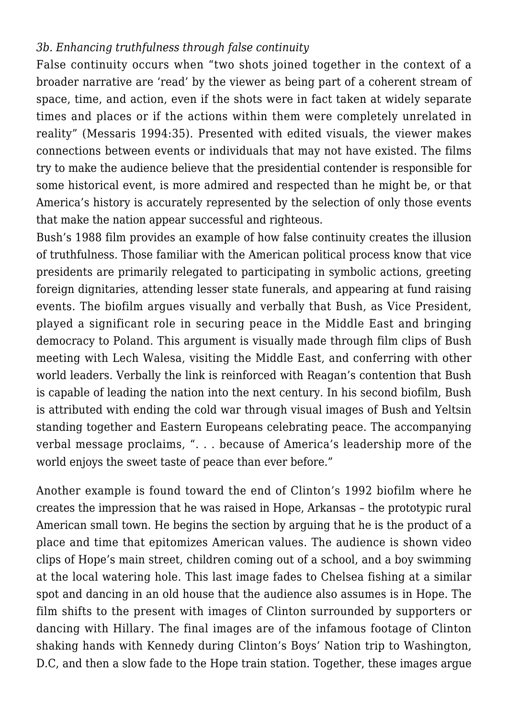# *3b. Enhancing truthfulness through false continuity*

False continuity occurs when "two shots joined together in the context of a broader narrative are 'read' by the viewer as being part of a coherent stream of space, time, and action, even if the shots were in fact taken at widely separate times and places or if the actions within them were completely unrelated in reality" (Messaris 1994:35). Presented with edited visuals, the viewer makes connections between events or individuals that may not have existed. The films try to make the audience believe that the presidential contender is responsible for some historical event, is more admired and respected than he might be, or that America's history is accurately represented by the selection of only those events that make the nation appear successful and righteous.

Bush's 1988 film provides an example of how false continuity creates the illusion of truthfulness. Those familiar with the American political process know that vice presidents are primarily relegated to participating in symbolic actions, greeting foreign dignitaries, attending lesser state funerals, and appearing at fund raising events. The biofilm argues visually and verbally that Bush, as Vice President, played a significant role in securing peace in the Middle East and bringing democracy to Poland. This argument is visually made through film clips of Bush meeting with Lech Walesa, visiting the Middle East, and conferring with other world leaders. Verbally the link is reinforced with Reagan's contention that Bush is capable of leading the nation into the next century. In his second biofilm, Bush is attributed with ending the cold war through visual images of Bush and Yeltsin standing together and Eastern Europeans celebrating peace. The accompanying verbal message proclaims, ". . . because of America's leadership more of the world enjoys the sweet taste of peace than ever before."

Another example is found toward the end of Clinton's 1992 biofilm where he creates the impression that he was raised in Hope, Arkansas – the prototypic rural American small town. He begins the section by arguing that he is the product of a place and time that epitomizes American values. The audience is shown video clips of Hope's main street, children coming out of a school, and a boy swimming at the local watering hole. This last image fades to Chelsea fishing at a similar spot and dancing in an old house that the audience also assumes is in Hope. The film shifts to the present with images of Clinton surrounded by supporters or dancing with Hillary. The final images are of the infamous footage of Clinton shaking hands with Kennedy during Clinton's Boys' Nation trip to Washington, D.C, and then a slow fade to the Hope train station. Together, these images argue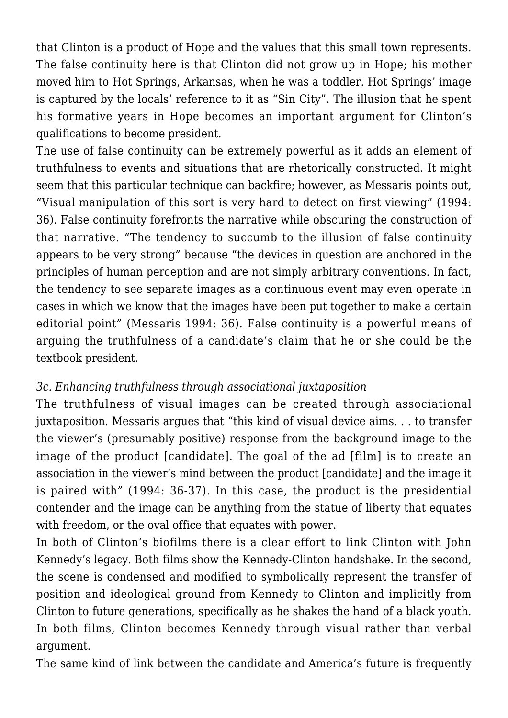that Clinton is a product of Hope and the values that this small town represents. The false continuity here is that Clinton did not grow up in Hope; his mother moved him to Hot Springs, Arkansas, when he was a toddler. Hot Springs' image is captured by the locals' reference to it as "Sin City". The illusion that he spent his formative years in Hope becomes an important argument for Clinton's qualifications to become president.

The use of false continuity can be extremely powerful as it adds an element of truthfulness to events and situations that are rhetorically constructed. It might seem that this particular technique can backfire; however, as Messaris points out, "Visual manipulation of this sort is very hard to detect on first viewing" (1994: 36). False continuity forefronts the narrative while obscuring the construction of that narrative. "The tendency to succumb to the illusion of false continuity appears to be very strong" because "the devices in question are anchored in the principles of human perception and are not simply arbitrary conventions. In fact, the tendency to see separate images as a continuous event may even operate in cases in which we know that the images have been put together to make a certain editorial point" (Messaris 1994: 36). False continuity is a powerful means of arguing the truthfulness of a candidate's claim that he or she could be the textbook president.

# *3c. Enhancing truthfulness through associational juxtaposition*

The truthfulness of visual images can be created through associational juxtaposition. Messaris argues that "this kind of visual device aims. . . to transfer the viewer's (presumably positive) response from the background image to the image of the product [candidate]. The goal of the ad [film] is to create an association in the viewer's mind between the product [candidate] and the image it is paired with" (1994: 36-37). In this case, the product is the presidential contender and the image can be anything from the statue of liberty that equates with freedom, or the oval office that equates with power.

In both of Clinton's biofilms there is a clear effort to link Clinton with John Kennedy's legacy. Both films show the Kennedy-Clinton handshake. In the second, the scene is condensed and modified to symbolically represent the transfer of position and ideological ground from Kennedy to Clinton and implicitly from Clinton to future generations, specifically as he shakes the hand of a black youth. In both films, Clinton becomes Kennedy through visual rather than verbal argument.

The same kind of link between the candidate and America's future is frequently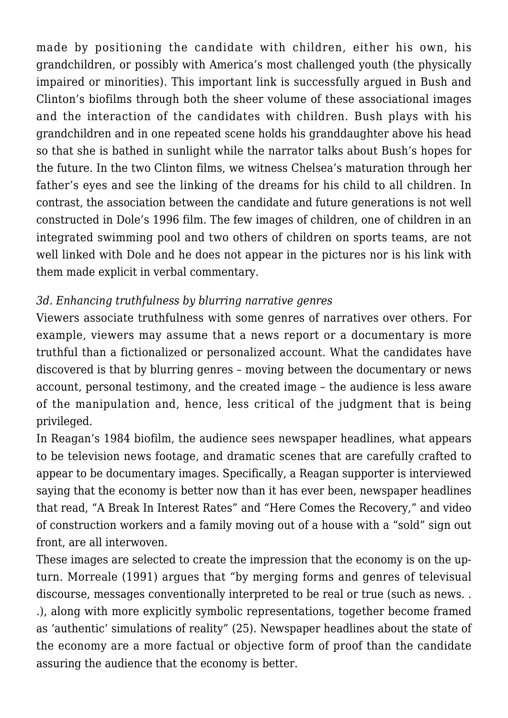made by positioning the candidate with children, either his own, his grandchildren, or possibly with America's most challenged youth (the physically impaired or minorities). This important link is successfully argued in Bush and Clinton's biofilms through both the sheer volume of these associational images and the interaction of the candidates with children. Bush plays with his grandchildren and in one repeated scene holds his granddaughter above his head so that she is bathed in sunlight while the narrator talks about Bush's hopes for the future. In the two Clinton films, we witness Chelsea's maturation through her father's eyes and see the linking of the dreams for his child to all children. In contrast, the association between the candidate and future generations is not well constructed in Dole's 1996 film. The few images of children, one of children in an integrated swimming pool and two others of children on sports teams, are not well linked with Dole and he does not appear in the pictures nor is his link with them made explicit in verbal commentary.

## *3d. Enhancing truthfulness by blurring narrative genres*

Viewers associate truthfulness with some genres of narratives over others. For example, viewers may assume that a news report or a documentary is more truthful than a fictionalized or personalized account. What the candidates have discovered is that by blurring genres – moving between the documentary or news account, personal testimony, and the created image – the audience is less aware of the manipulation and, hence, less critical of the judgment that is being privileged.

In Reagan's 1984 biofilm, the audience sees newspaper headlines, what appears to be television news footage, and dramatic scenes that are carefully crafted to appear to be documentary images. Specifically, a Reagan supporter is interviewed saying that the economy is better now than it has ever been, newspaper headlines that read, "A Break In Interest Rates" and "Here Comes the Recovery," and video of construction workers and a family moving out of a house with a "sold" sign out front, are all interwoven.

These images are selected to create the impression that the economy is on the upturn. Morreale (1991) argues that "by merging forms and genres of televisual discourse, messages conventionally interpreted to be real or true (such as news. . .), along with more explicitly symbolic representations, together become framed as 'authentic' simulations of reality" (25). Newspaper headlines about the state of the economy are a more factual or objective form of proof than the candidate assuring the audience that the economy is better.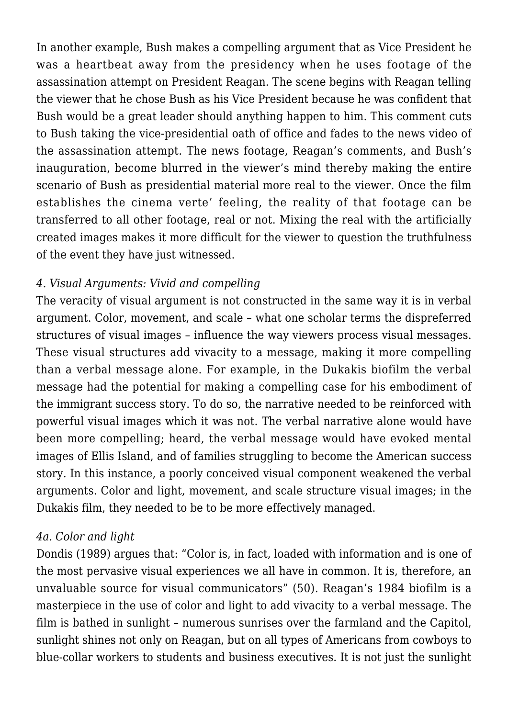In another example, Bush makes a compelling argument that as Vice President he was a heartbeat away from the presidency when he uses footage of the assassination attempt on President Reagan. The scene begins with Reagan telling the viewer that he chose Bush as his Vice President because he was confident that Bush would be a great leader should anything happen to him. This comment cuts to Bush taking the vice-presidential oath of office and fades to the news video of the assassination attempt. The news footage, Reagan's comments, and Bush's inauguration, become blurred in the viewer's mind thereby making the entire scenario of Bush as presidential material more real to the viewer. Once the film establishes the cinema verte' feeling, the reality of that footage can be transferred to all other footage, real or not. Mixing the real with the artificially created images makes it more difficult for the viewer to question the truthfulness of the event they have just witnessed.

## *4. Visual Arguments: Vivid and compelling*

The veracity of visual argument is not constructed in the same way it is in verbal argument. Color, movement, and scale – what one scholar terms the dispreferred structures of visual images – influence the way viewers process visual messages. These visual structures add vivacity to a message, making it more compelling than a verbal message alone. For example, in the Dukakis biofilm the verbal message had the potential for making a compelling case for his embodiment of the immigrant success story. To do so, the narrative needed to be reinforced with powerful visual images which it was not. The verbal narrative alone would have been more compelling; heard, the verbal message would have evoked mental images of Ellis Island, and of families struggling to become the American success story. In this instance, a poorly conceived visual component weakened the verbal arguments. Color and light, movement, and scale structure visual images; in the Dukakis film, they needed to be to be more effectively managed.

## *4a. Color and light*

Dondis (1989) argues that: "Color is, in fact, loaded with information and is one of the most pervasive visual experiences we all have in common. It is, therefore, an unvaluable source for visual communicators" (50). Reagan's 1984 biofilm is a masterpiece in the use of color and light to add vivacity to a verbal message. The film is bathed in sunlight – numerous sunrises over the farmland and the Capitol, sunlight shines not only on Reagan, but on all types of Americans from cowboys to blue-collar workers to students and business executives. It is not just the sunlight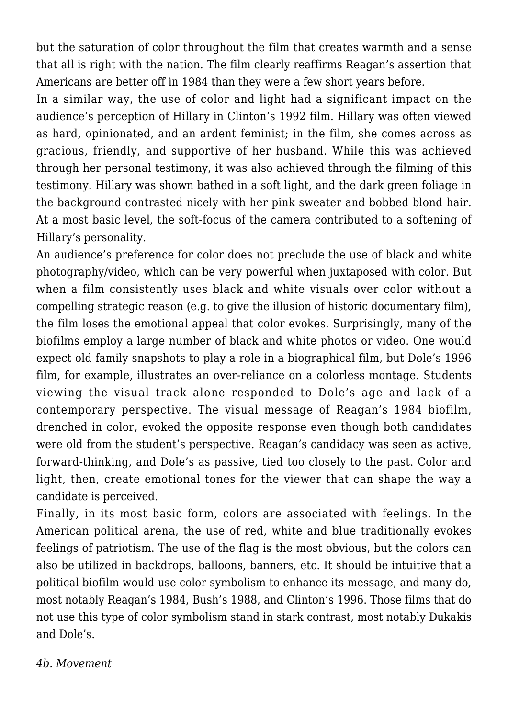but the saturation of color throughout the film that creates warmth and a sense that all is right with the nation. The film clearly reaffirms Reagan's assertion that Americans are better off in 1984 than they were a few short years before.

In a similar way, the use of color and light had a significant impact on the audience's perception of Hillary in Clinton's 1992 film. Hillary was often viewed as hard, opinionated, and an ardent feminist; in the film, she comes across as gracious, friendly, and supportive of her husband. While this was achieved through her personal testimony, it was also achieved through the filming of this testimony. Hillary was shown bathed in a soft light, and the dark green foliage in the background contrasted nicely with her pink sweater and bobbed blond hair. At a most basic level, the soft-focus of the camera contributed to a softening of Hillary's personality.

An audience's preference for color does not preclude the use of black and white photography/video, which can be very powerful when juxtaposed with color. But when a film consistently uses black and white visuals over color without a compelling strategic reason (e.g. to give the illusion of historic documentary film), the film loses the emotional appeal that color evokes. Surprisingly, many of the biofilms employ a large number of black and white photos or video. One would expect old family snapshots to play a role in a biographical film, but Dole's 1996 film, for example, illustrates an over-reliance on a colorless montage. Students viewing the visual track alone responded to Dole's age and lack of a contemporary perspective. The visual message of Reagan's 1984 biofilm, drenched in color, evoked the opposite response even though both candidates were old from the student's perspective. Reagan's candidacy was seen as active, forward-thinking, and Dole's as passive, tied too closely to the past. Color and light, then, create emotional tones for the viewer that can shape the way a candidate is perceived.

Finally, in its most basic form, colors are associated with feelings. In the American political arena, the use of red, white and blue traditionally evokes feelings of patriotism. The use of the flag is the most obvious, but the colors can also be utilized in backdrops, balloons, banners, etc. It should be intuitive that a political biofilm would use color symbolism to enhance its message, and many do, most notably Reagan's 1984, Bush's 1988, and Clinton's 1996. Those films that do not use this type of color symbolism stand in stark contrast, most notably Dukakis and Dole's.

## *4b. Movement*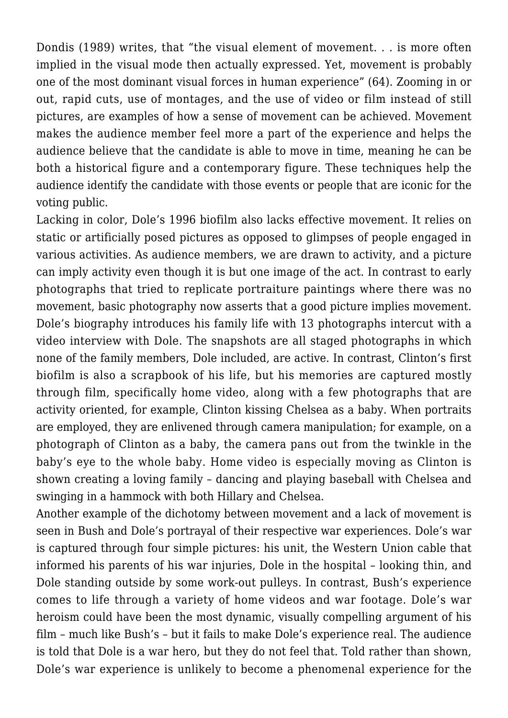Dondis (1989) writes, that "the visual element of movement. . . is more often implied in the visual mode then actually expressed. Yet, movement is probably one of the most dominant visual forces in human experience" (64). Zooming in or out, rapid cuts, use of montages, and the use of video or film instead of still pictures, are examples of how a sense of movement can be achieved. Movement makes the audience member feel more a part of the experience and helps the audience believe that the candidate is able to move in time, meaning he can be both a historical figure and a contemporary figure. These techniques help the audience identify the candidate with those events or people that are iconic for the voting public.

Lacking in color, Dole's 1996 biofilm also lacks effective movement. It relies on static or artificially posed pictures as opposed to glimpses of people engaged in various activities. As audience members, we are drawn to activity, and a picture can imply activity even though it is but one image of the act. In contrast to early photographs that tried to replicate portraiture paintings where there was no movement, basic photography now asserts that a good picture implies movement. Dole's biography introduces his family life with 13 photographs intercut with a video interview with Dole. The snapshots are all staged photographs in which none of the family members, Dole included, are active. In contrast, Clinton's first biofilm is also a scrapbook of his life, but his memories are captured mostly through film, specifically home video, along with a few photographs that are activity oriented, for example, Clinton kissing Chelsea as a baby. When portraits are employed, they are enlivened through camera manipulation; for example, on a photograph of Clinton as a baby, the camera pans out from the twinkle in the baby's eye to the whole baby. Home video is especially moving as Clinton is shown creating a loving family – dancing and playing baseball with Chelsea and swinging in a hammock with both Hillary and Chelsea.

Another example of the dichotomy between movement and a lack of movement is seen in Bush and Dole's portrayal of their respective war experiences. Dole's war is captured through four simple pictures: his unit, the Western Union cable that informed his parents of his war injuries, Dole in the hospital – looking thin, and Dole standing outside by some work-out pulleys. In contrast, Bush's experience comes to life through a variety of home videos and war footage. Dole's war heroism could have been the most dynamic, visually compelling argument of his film – much like Bush's – but it fails to make Dole's experience real. The audience is told that Dole is a war hero, but they do not feel that. Told rather than shown, Dole's war experience is unlikely to become a phenomenal experience for the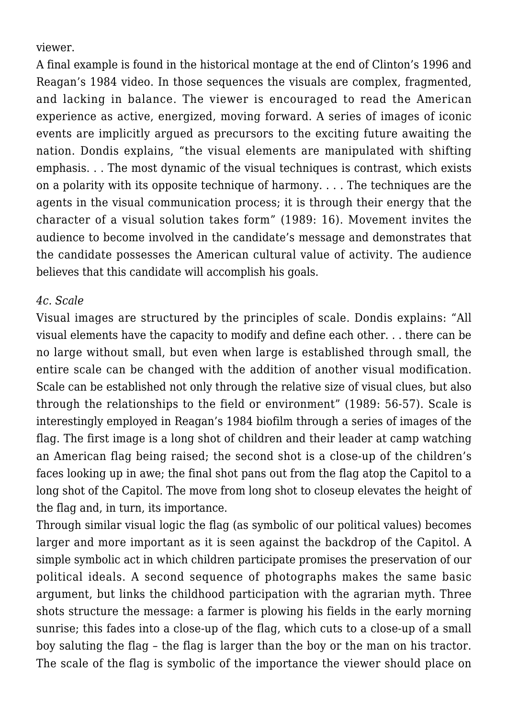viewer.

A final example is found in the historical montage at the end of Clinton's 1996 and Reagan's 1984 video. In those sequences the visuals are complex, fragmented, and lacking in balance. The viewer is encouraged to read the American experience as active, energized, moving forward. A series of images of iconic events are implicitly argued as precursors to the exciting future awaiting the nation. Dondis explains, "the visual elements are manipulated with shifting emphasis. . . The most dynamic of the visual techniques is contrast, which exists on a polarity with its opposite technique of harmony. . . . The techniques are the agents in the visual communication process; it is through their energy that the character of a visual solution takes form" (1989: 16). Movement invites the audience to become involved in the candidate's message and demonstrates that the candidate possesses the American cultural value of activity. The audience believes that this candidate will accomplish his goals.

#### *4c. Scale*

Visual images are structured by the principles of scale. Dondis explains: "All visual elements have the capacity to modify and define each other. . . there can be no large without small, but even when large is established through small, the entire scale can be changed with the addition of another visual modification. Scale can be established not only through the relative size of visual clues, but also through the relationships to the field or environment" (1989: 56-57). Scale is interestingly employed in Reagan's 1984 biofilm through a series of images of the flag. The first image is a long shot of children and their leader at camp watching an American flag being raised; the second shot is a close-up of the children's faces looking up in awe; the final shot pans out from the flag atop the Capitol to a long shot of the Capitol. The move from long shot to closeup elevates the height of the flag and, in turn, its importance.

Through similar visual logic the flag (as symbolic of our political values) becomes larger and more important as it is seen against the backdrop of the Capitol. A simple symbolic act in which children participate promises the preservation of our political ideals. A second sequence of photographs makes the same basic argument, but links the childhood participation with the agrarian myth. Three shots structure the message: a farmer is plowing his fields in the early morning sunrise; this fades into a close-up of the flag, which cuts to a close-up of a small boy saluting the flag – the flag is larger than the boy or the man on his tractor. The scale of the flag is symbolic of the importance the viewer should place on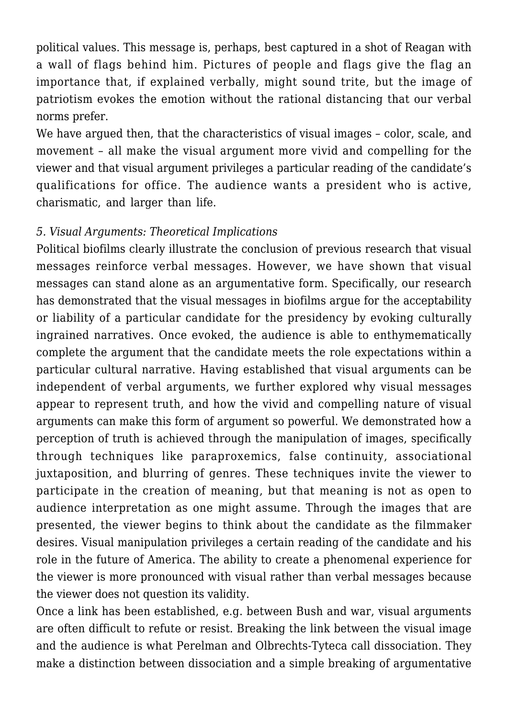political values. This message is, perhaps, best captured in a shot of Reagan with a wall of flags behind him. Pictures of people and flags give the flag an importance that, if explained verbally, might sound trite, but the image of patriotism evokes the emotion without the rational distancing that our verbal norms prefer.

We have argued then, that the characteristics of visual images – color, scale, and movement – all make the visual argument more vivid and compelling for the viewer and that visual argument privileges a particular reading of the candidate's qualifications for office. The audience wants a president who is active, charismatic, and larger than life.

#### *5. Visual Arguments: Theoretical Implications*

Political biofilms clearly illustrate the conclusion of previous research that visual messages reinforce verbal messages. However, we have shown that visual messages can stand alone as an argumentative form. Specifically, our research has demonstrated that the visual messages in biofilms argue for the acceptability or liability of a particular candidate for the presidency by evoking culturally ingrained narratives. Once evoked, the audience is able to enthymematically complete the argument that the candidate meets the role expectations within a particular cultural narrative. Having established that visual arguments can be independent of verbal arguments, we further explored why visual messages appear to represent truth, and how the vivid and compelling nature of visual arguments can make this form of argument so powerful. We demonstrated how a perception of truth is achieved through the manipulation of images, specifically through techniques like paraproxemics, false continuity, associational juxtaposition, and blurring of genres. These techniques invite the viewer to participate in the creation of meaning, but that meaning is not as open to audience interpretation as one might assume. Through the images that are presented, the viewer begins to think about the candidate as the filmmaker desires. Visual manipulation privileges a certain reading of the candidate and his role in the future of America. The ability to create a phenomenal experience for the viewer is more pronounced with visual rather than verbal messages because the viewer does not question its validity.

Once a link has been established, e.g. between Bush and war, visual arguments are often difficult to refute or resist. Breaking the link between the visual image and the audience is what Perelman and Olbrechts-Tyteca call dissociation. They make a distinction between dissociation and a simple breaking of argumentative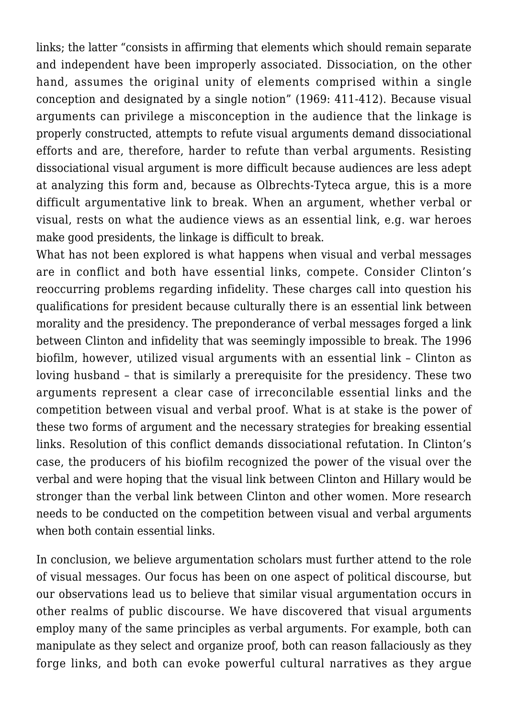links; the latter "consists in affirming that elements which should remain separate and independent have been improperly associated. Dissociation, on the other hand, assumes the original unity of elements comprised within a single conception and designated by a single notion" (1969: 411-412). Because visual arguments can privilege a misconception in the audience that the linkage is properly constructed, attempts to refute visual arguments demand dissociational efforts and are, therefore, harder to refute than verbal arguments. Resisting dissociational visual argument is more difficult because audiences are less adept at analyzing this form and, because as Olbrechts-Tyteca argue, this is a more difficult argumentative link to break. When an argument, whether verbal or visual, rests on what the audience views as an essential link, e.g. war heroes make good presidents, the linkage is difficult to break.

What has not been explored is what happens when visual and verbal messages are in conflict and both have essential links, compete. Consider Clinton's reoccurring problems regarding infidelity. These charges call into question his qualifications for president because culturally there is an essential link between morality and the presidency. The preponderance of verbal messages forged a link between Clinton and infidelity that was seemingly impossible to break. The 1996 biofilm, however, utilized visual arguments with an essential link – Clinton as loving husband – that is similarly a prerequisite for the presidency. These two arguments represent a clear case of irreconcilable essential links and the competition between visual and verbal proof. What is at stake is the power of these two forms of argument and the necessary strategies for breaking essential links. Resolution of this conflict demands dissociational refutation. In Clinton's case, the producers of his biofilm recognized the power of the visual over the verbal and were hoping that the visual link between Clinton and Hillary would be stronger than the verbal link between Clinton and other women. More research needs to be conducted on the competition between visual and verbal arguments when both contain essential links.

In conclusion, we believe argumentation scholars must further attend to the role of visual messages. Our focus has been on one aspect of political discourse, but our observations lead us to believe that similar visual argumentation occurs in other realms of public discourse. We have discovered that visual arguments employ many of the same principles as verbal arguments. For example, both can manipulate as they select and organize proof, both can reason fallaciously as they forge links, and both can evoke powerful cultural narratives as they argue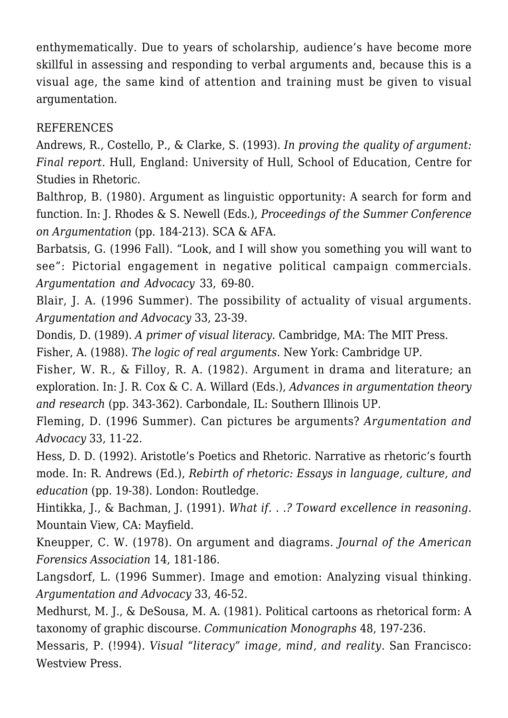enthymematically. Due to years of scholarship, audience's have become more skillful in assessing and responding to verbal arguments and, because this is a visual age, the same kind of attention and training must be given to visual argumentation.

## **REFERENCES**

Andrews, R., Costello, P., & Clarke, S. (1993). *In proving the quality of argument: Final report*. Hull, England: University of Hull, School of Education, Centre for Studies in Rhetoric.

Balthrop, B. (1980). Argument as linguistic opportunity: A search for form and function. In: J. Rhodes & S. Newell (Eds.), *Proceedings of the Summer Conference on Argumentation* (pp. 184-213). SCA & AFA.

Barbatsis, G. (1996 Fall). "Look, and I will show you something you will want to see": Pictorial engagement in negative political campaign commercials. *Argumentation and Advocacy* 33, 69-80.

Blair, J. A. (1996 Summer). The possibility of actuality of visual arguments. *Argumentation and Advocacy* 33, 23-39.

Dondis, D. (1989). *A primer of visual literacy*. Cambridge, MA: The MIT Press.

Fisher, A. (1988). *The logic of real arguments*. New York: Cambridge UP.

Fisher, W. R., & Filloy, R. A. (1982). Argument in drama and literature; an exploration. In: J. R. Cox & C. A. Willard (Eds.), *Advances in argumentation theory and research* (pp. 343-362). Carbondale, IL: Southern Illinois UP.

Fleming, D. (1996 Summer). Can pictures be arguments? *Argumentation and Advocacy* 33, 11-22.

Hess, D. D. (1992). Aristotle's Poetics and Rhetoric. Narrative as rhetoric's fourth mode. In: R. Andrews (Ed.), *Rebirth of rhetoric: Essays in language, culture, and education* (pp. 19-38). London: Routledge.

Hintikka, J., & Bachman, J. (1991). *What if. . .? Toward excellence in reasoning.* Mountain View, CA: Mayfield.

Kneupper, C. W. (1978). On argument and diagrams. *Journal of the American Forensics Association* 14, 181-186.

Langsdorf, L. (1996 Summer). Image and emotion: Analyzing visual thinking. *Argumentation and Advocacy* 33, 46-52.

Medhurst, M. J., & DeSousa, M. A. (1981). Political cartoons as rhetorical form: A taxonomy of graphic discourse. *Communication Monographs* 48, 197-236.

Messaris, P. (!994). *Visual "literacy" image, mind, and reality*. San Francisco: Westview Press.